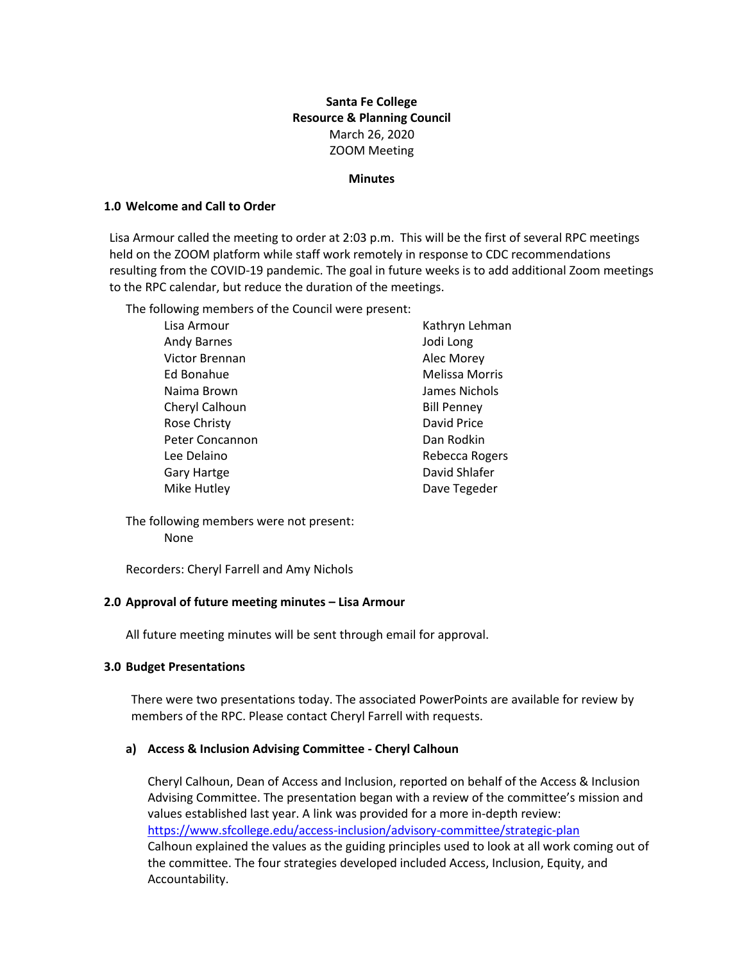# **Santa Fe College Resource & Planning Council** March 26, 2020 ZOOM Meeting

#### **Minutes**

#### **1.0 Welcome and Call to Order**

Lisa Armour called the meeting to order at 2:03 p.m. This will be the first of several RPC meetings held on the ZOOM platform while staff work remotely in response to CDC recommendations resulting from the COVID-19 pandemic. The goal in future weeks is to add additional Zoom meetings to the RPC calendar, but reduce the duration of the meetings.

The following members of the Council were present:

| Lisa Armour         | Kathryn Lehman        |
|---------------------|-----------------------|
| <b>Andy Barnes</b>  | Jodi Long             |
| Victor Brennan      | Alec Morey            |
| Ed Bonahue          | <b>Melissa Morris</b> |
| Naima Brown         | James Nichols         |
| Cheryl Calhoun      | <b>Bill Penney</b>    |
| <b>Rose Christy</b> | David Price           |
| Peter Concannon     | Dan Rodkin            |
| Lee Delaino         | Rebecca Rogers        |
| Gary Hartge         | David Shlafer         |
| Mike Hutley         | Dave Tegeder          |

The following members were not present: None

Recorders: Cheryl Farrell and Amy Nichols

## **2.0 Approval of future meeting minutes – Lisa Armour**

All future meeting minutes will be sent through email for approval.

#### **3.0 Budget Presentations**

There were two presentations today. The associated PowerPoints are available for review by members of the RPC. Please contact Cheryl Farrell with requests.

#### **a) Access & Inclusion Advising Committee - Cheryl Calhoun**

Cheryl Calhoun, Dean of Access and Inclusion, reported on behalf of the Access & Inclusion Advising Committee. The presentation began with a review of the committee's mission and values established last year. A link was provided for a more in-depth review: <https://www.sfcollege.edu/access-inclusion/advisory-committee/strategic-plan> Calhoun explained the values as the guiding principles used to look at all work coming out of the committee. The four strategies developed included Access, Inclusion, Equity, and Accountability.